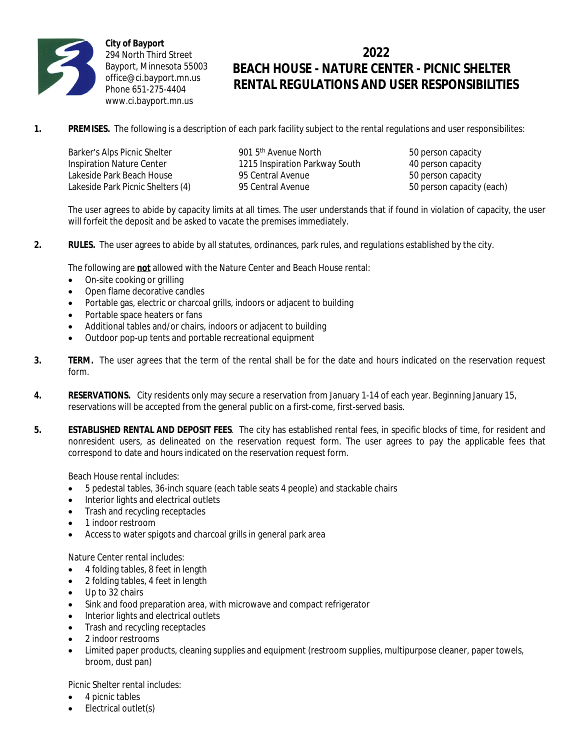

**City of Bayport** 294 North Third Street Bayport, Minnesota 55003 office@ci.bayport.mn.us Phone 651-275-4404 www.ci.bayport.mn.us

## **2022 BEACH HOUSE - NATURE CENTER - PICNIC SHELTER RENTAL REGULATIONS AND USER RESPONSIBILITIES**

**1.** PREMISES. The following is a description of each park facility subject to the rental regulations and user responsibilites:

| Barker's Alps Picnic Shelter      | 901 5 <sup>th</sup> Avenue North | 50 person capacity        |
|-----------------------------------|----------------------------------|---------------------------|
| Inspiration Nature Center         | 1215 Inspiration Parkway South   | 40 person capacity        |
| Lakeside Park Beach House         | 95 Central Avenue                | 50 person capacity        |
| Lakeside Park Picnic Shelters (4) | 95 Central Avenue                | 50 person capacity (each) |

The user agrees to abide by capacity limits at all times. The user understands that if found in violation of capacity, the user will forfeit the deposit and be asked to vacate the premises immediately.

**2. RULES.** The user agrees to abide by all statutes, ordinances, park rules, and regulations established by the city.

The following are **not** allowed with the Nature Center and Beach House rental:

- On-site cooking or grilling
- Open flame decorative candles
- Portable gas, electric or charcoal grills, indoors or adjacent to building
- Portable space heaters or fans
- Additional tables and/or chairs, indoors or adjacent to building
- Outdoor pop-up tents and portable recreational equipment
- **3. TERM.** The user agrees that the term of the rental shall be for the date and hours indicated on the reservation request form.
- **4. RESERVATIONS.** City residents only may secure a reservation from January 1-14 of each year. Beginning January 15, reservations will be accepted from the general public on a first-come, first-served basis.
- **5. ESTABLISHED RENTAL AND DEPOSIT FEES**. The city has established rental fees, in specific blocks of time, for resident and nonresident users, as delineated on the reservation request form. The user agrees to pay the applicable fees that correspond to date and hours indicated on the reservation request form.

Beach House rental includes:

- 5 pedestal tables, 36-inch square (each table seats 4 people) and stackable chairs
- Interior lights and electrical outlets
- Trash and recycling receptacles
- 1 indoor restroom
- Access to water spigots and charcoal grills in general park area

Nature Center rental includes:

- 4 folding tables, 8 feet in length
- 2 folding tables, 4 feet in length
- Up to 32 chairs
- Sink and food preparation area, with microwave and compact refrigerator
- Interior lights and electrical outlets
- Trash and recycling receptacles
- 2 indoor restrooms
- Limited paper products, cleaning supplies and equipment (restroom supplies, multipurpose cleaner, paper towels, broom, dust pan)

Picnic Shelter rental includes:

- 4 picnic tables
- Electrical outlet(s)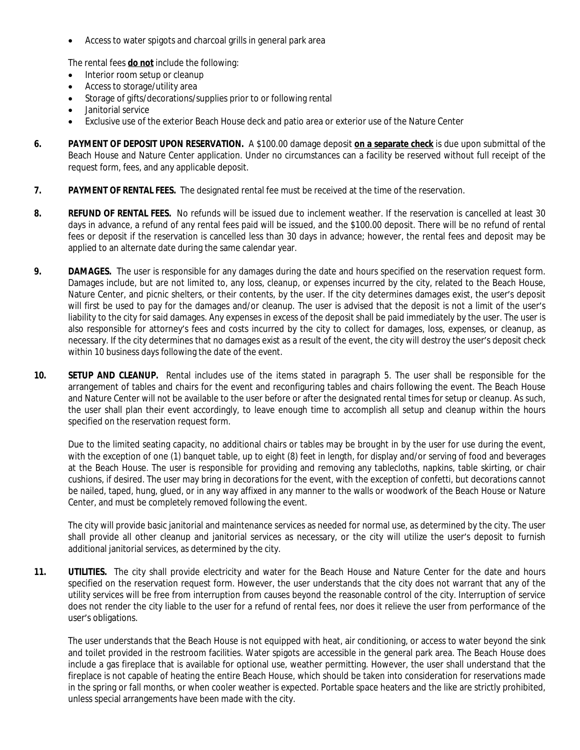Access to water spigots and charcoal grills in general park area

The rental fees **do not** include the following:

- Interior room setup or cleanup
- Access to storage/utility area
- Storage of gifts/decorations/supplies prior to or following rental
- Janitorial service
- Exclusive use of the exterior Beach House deck and patio area or exterior use of the Nature Center
- **6. PAYMENT OF DEPOSIT UPON RESERVATION.** A \$100.00 damage deposit **on a separate check** is due upon submittal of the Beach House and Nature Center application. Under no circumstances can a facility be reserved without full receipt of the request form, fees, and any applicable deposit.
- **7. PAYMENT OF RENTAL FEES.** The designated rental fee must be received at the time of the reservation.
- **8. REFUND OF RENTAL FEES.** No refunds will be issued due to inclement weather. If the reservation is cancelled at least 30 days in advance, a refund of any rental fees paid will be issued, and the \$100.00 deposit. There will be no refund of rental fees or deposit if the reservation is cancelled less than 30 days in advance; however, the rental fees and deposit may be applied to an alternate date during the same calendar year.
- **9. DAMAGES.** The user is responsible for any damages during the date and hours specified on the reservation request form. Damages include, but are not limited to, any loss, cleanup, or expenses incurred by the city, related to the Beach House, Nature Center, and picnic shelters, or their contents, by the user. If the city determines damages exist, the user's deposit will first be used to pay for the damages and/or cleanup. The user is advised that the deposit is not a limit of the user's liability to the city for said damages. Any expenses in excess of the deposit shall be paid immediately by the user. The user is also responsible for attorney's fees and costs incurred by the city to collect for damages, loss, expenses, or cleanup, as necessary. If the city determines that no damages exist as a result of the event, the city will destroy the user's deposit check within 10 business days following the date of the event.
- **10. SETUP AND CLEANUP.** Rental includes use of the items stated in paragraph 5. The user shall be responsible for the arrangement of tables and chairs for the event and reconfiguring tables and chairs following the event. The Beach House and Nature Center will not be available to the user before or after the designated rental times for setup or cleanup. As such, the user shall plan their event accordingly, to leave enough time to accomplish all setup and cleanup within the hours specified on the reservation request form.

Due to the limited seating capacity, no additional chairs or tables may be brought in by the user for use during the event, with the exception of one (1) banquet table, up to eight (8) feet in length, for display and/or serving of food and beverages at the Beach House. The user is responsible for providing and removing any tablecloths, napkins, table skirting, or chair cushions, if desired. The user may bring in decorations for the event, with the exception of confetti, but decorations cannot be nailed, taped, hung, glued, or in any way affixed in any manner to the walls or woodwork of the Beach House or Nature Center, and must be completely removed following the event.

The city will provide basic janitorial and maintenance services as needed for normal use, as determined by the city. The user shall provide all other cleanup and janitorial services as necessary, or the city will utilize the user's deposit to furnish additional janitorial services, as determined by the city.

**11. UTILITIES.** The city shall provide electricity and water for the Beach House and Nature Center for the date and hours specified on the reservation request form. However, the user understands that the city does not warrant that any of the utility services will be free from interruption from causes beyond the reasonable control of the city. Interruption of service does not render the city liable to the user for a refund of rental fees, nor does it relieve the user from performance of the user's obligations.

The user understands that the Beach House is not equipped with heat, air conditioning, or access to water beyond the sink and toilet provided in the restroom facilities. Water spigots are accessible in the general park area. The Beach House does include a gas fireplace that is available for optional use, weather permitting. However, the user shall understand that the fireplace is not capable of heating the entire Beach House, which should be taken into consideration for reservations made in the spring or fall months, or when cooler weather is expected. Portable space heaters and the like are strictly prohibited, unless special arrangements have been made with the city.